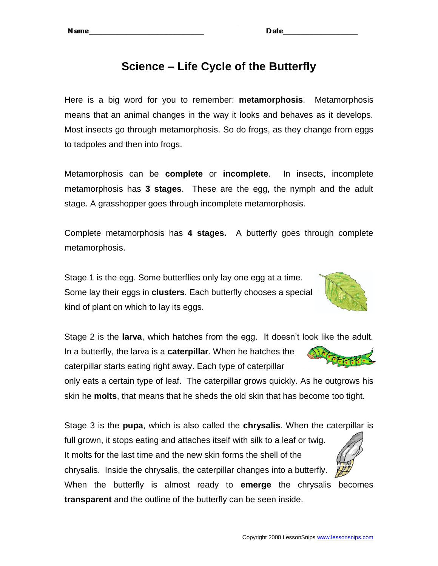## **Science – Life Cycle of the Butterfly**

Here is a big word for you to remember: **metamorphosis**. Metamorphosis means that an animal changes in the way it looks and behaves as it develops. Most insects go through metamorphosis. So do frogs, as they change from eggs to tadpoles and then into frogs.

Metamorphosis can be **complete** or **incomplete**. In insects, incomplete metamorphosis has **3 stages**. These are the egg, the nymph and the adult stage. A grasshopper goes through incomplete metamorphosis.

Complete metamorphosis has **4 stages.** A butterfly goes through complete metamorphosis.

Stage 1 is the egg. Some butterflies only lay one egg at a time. Some lay their eggs in **clusters**. Each butterfly chooses a special kind of plant on which to lay its eggs.



only eats a certain type of leaf. The caterpillar grows quickly. As he outgrows his skin he **molts**, that means that he sheds the old skin that has become too tight.

Stage 3 is the **pupa**, which is also called the **chrysalis**. When the caterpillar is full grown, it stops eating and attaches itself with silk to a leaf or twig. It molts for the last time and the new skin forms the shell of the chrysalis. Inside the chrysalis, the caterpillar changes into a butterfly.

When the butterfly is almost ready to **emerge** the chrysalis becomes **transparent** and the outline of the butterfly can be seen inside.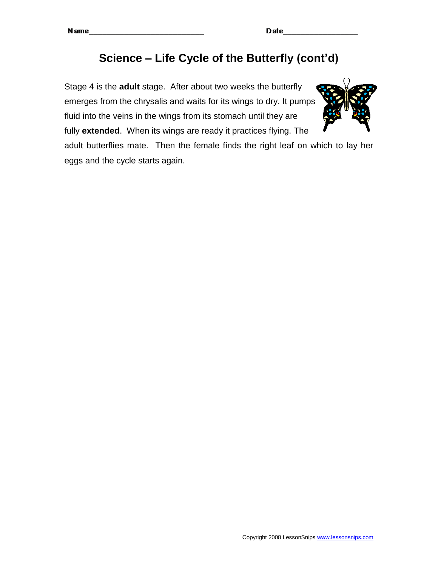# **Science – Life Cycle of the Butterfly (cont'd)**

Stage 4 is the **adult** stage. After about two weeks the butterfly emerges from the chrysalis and waits for its wings to dry. It pumps fluid into the veins in the wings from its stomach until they are fully **extended**. When its wings are ready it practices flying. The



adult butterflies mate. Then the female finds the right leaf on which to lay her eggs and the cycle starts again.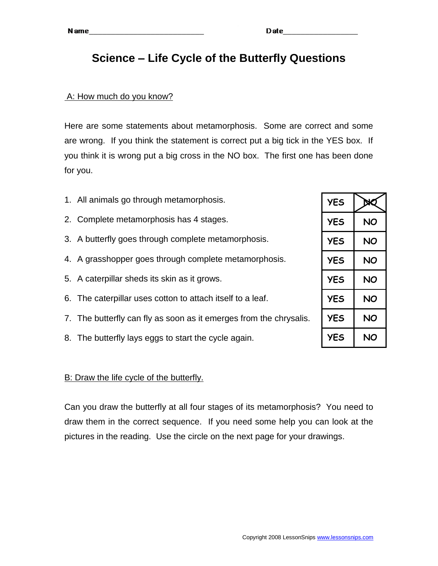### **Science – Life Cycle of the Butterfly Questions**

#### A: How much do you know?

Here are some statements about metamorphosis. Some are correct and some are wrong. If you think the statement is correct put a big tick in the YES box. If you think it is wrong put a big cross in the NO box. The first one has been done for you.

- 1. All animals go through metamorphosis.
- 2. Complete metamorphosis has 4 stages.
- 3. A butterfly goes through complete metamorphosis.
- 4. A grasshopper goes through complete metamorphosis.
- 5. A caterpillar sheds its skin as it grows.
- 6. The caterpillar uses cotton to attach itself to a leaf.
- 7. The butterfly can fly as soon as it emerges from the chrysalis.
- 8. The butterfly lays eggs to start the cycle again.

#### B: Draw the life cycle of the butterfly.

Can you draw the butterfly at all four stages of its metamorphosis? You need to draw them in the correct sequence. If you need some help you can look at the pictures in the reading. Use the circle on the next page for your drawings.

| <b>YES</b> | XО |
|------------|----|
| YES        | NO |
| <b>YES</b> | NO |
| <b>YES</b> | NO |
| <b>YES</b> | NO |
| <b>YES</b> | NO |
| <b>YES</b> | NO |
| <b>YES</b> | NO |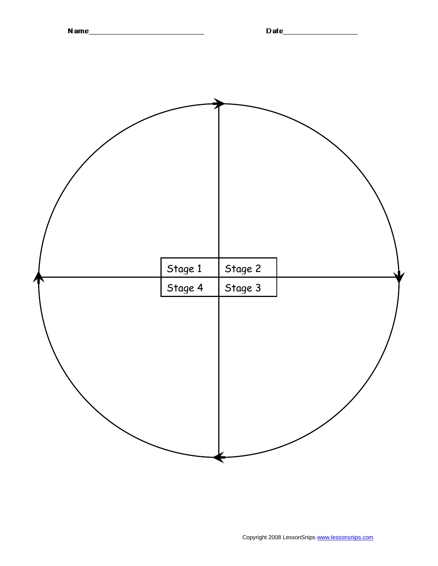